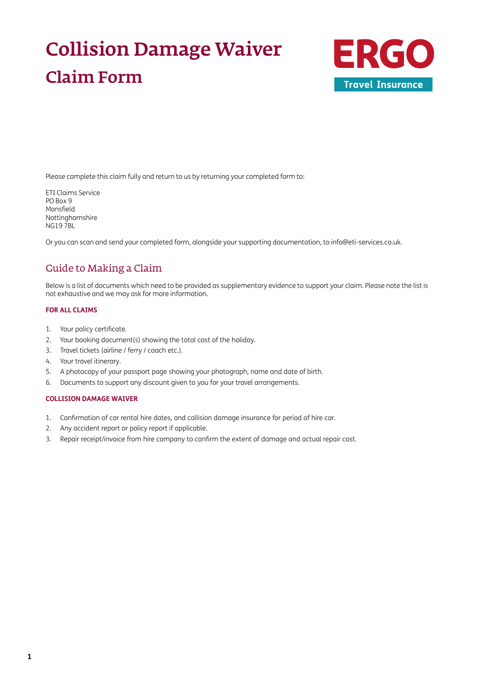# Collision Damage Waiver Claim Form



Please complete this claim fully and return to us by returning your completed form to:

ETI Claims Service PO Box 9 Mansfield Nottinghamshire NG19 7BL

Or you can scan and send your completed form, alongside your supporting documentation, to [info@eti-services.co.uk.](mailto:info%40eti-services.co.uk?subject=)

### Guide to Making a Claim

Below is a list of documents which need to be provided as supplementary evidence to support your claim. Please note the list is not exhaustive and we may ask for more information.

#### **FOR ALL CLAIMS**

- 1. Your policy certificate.
- 2. Your booking document(s) showing the total cost of the holiday.
- 3. Travel tickets (airline / ferry / coach etc.).
- 4. Your travel itinerary.
- 5. A photocopy of your passport page showing your photograph, name and date of birth.
- 6. Documents to support any discount given to you for your travel arrangements.

#### **COLLISION DAMAGE WAIVER**

- 1. Confirmation of car rental hire dates, and collision damage insurance for period of hire car.
- 2. Any accident report or policy report if applicable.
- 3. Repair receipt/invoice from hire company to confirm the extent of damage and actual repair cost.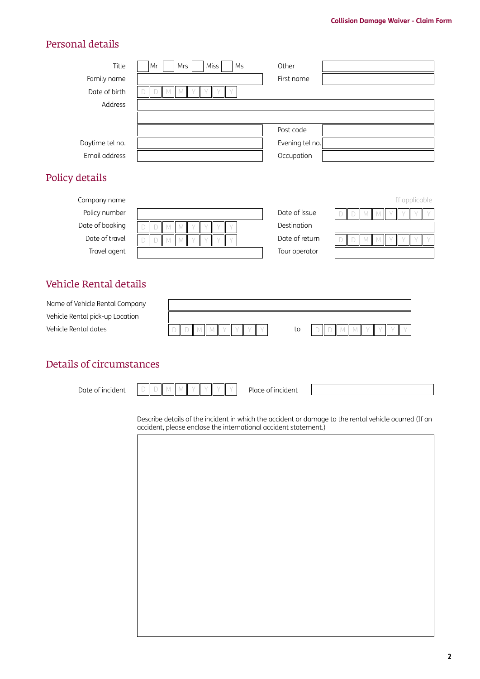### Personal details

| Title           | Miss<br>Mr<br>Ms<br>Mrs | Other           |
|-----------------|-------------------------|-----------------|
| Family name     |                         | First name      |
| Date of birth   | $\setminus$             |                 |
| Address         |                         |                 |
|                 |                         |                 |
|                 |                         | Post code       |
| Daytime tel no. |                         | Evening tel no. |
| Email address   |                         | Occupation      |
|                 |                         |                 |

### Policy details

| Company name    |              |                | If applicable |
|-----------------|--------------|----------------|---------------|
| Policy number   |              | Date of issue  | $\mathbb{L}$  |
| Date of booking | $\mathbb{L}$ | Destination    |               |
| Date of travel  | $\mathbb{I}$ | Date of return | $\mathbb{I}$  |
| Travel agent    |              | Tour operator  |               |

### Vehicle Rental details

| Name of Vehicle Rental Company  |    |  |
|---------------------------------|----|--|
| Vehicle Rental pick-up Location |    |  |
| Vehicle Rental dates            | to |  |

### Details of circumstances

Date of incident Place of incident D || D || M || M || Y || Y || Y || Y

Describe details of the incident in which the accident or damage to the rental vehicle ocurred (If an accident, please enclose the international accident statement.)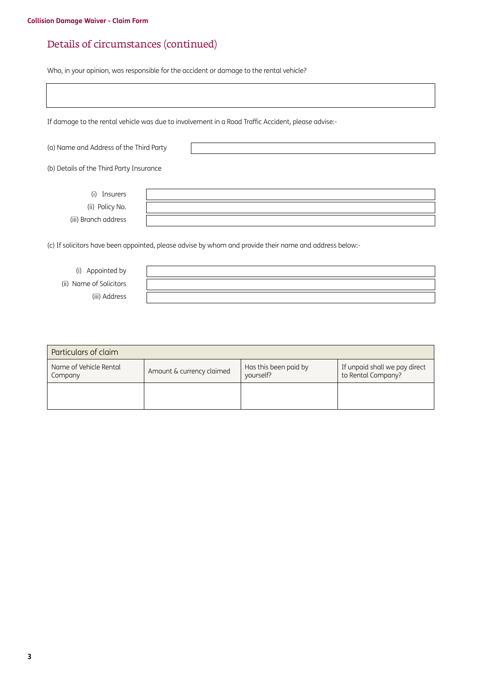# Details of circumstances (continued)

Who, in your opinion, was responsible for the accident or damage to the rental vehicle?

|                                          | If damage to the rental vehicle was due to involvement in a Road Traffic Accident, please advise:-      |
|------------------------------------------|---------------------------------------------------------------------------------------------------------|
| (a) Name and Address of the Third Party  |                                                                                                         |
| (b) Details of the Third Party Insurance |                                                                                                         |
| Insurers<br>(i)                          |                                                                                                         |
| (ii) Policy No.                          |                                                                                                         |
| (iii) Branch address                     |                                                                                                         |
|                                          | (c) If solicitors have been appointed, please advise by whom and provide their name and address below:- |

(i) Appointed by (ii) Name of Solicitors (iii) Address

| Particulars of claim              |                           |                                    |                                                     |  |  |  |
|-----------------------------------|---------------------------|------------------------------------|-----------------------------------------------------|--|--|--|
| Name of Vehicle Rental<br>Company | Amount & currency claimed | Has this been paid by<br>yourself? | If unpaid shall we pay direct<br>to Rental Company? |  |  |  |
|                                   |                           |                                    |                                                     |  |  |  |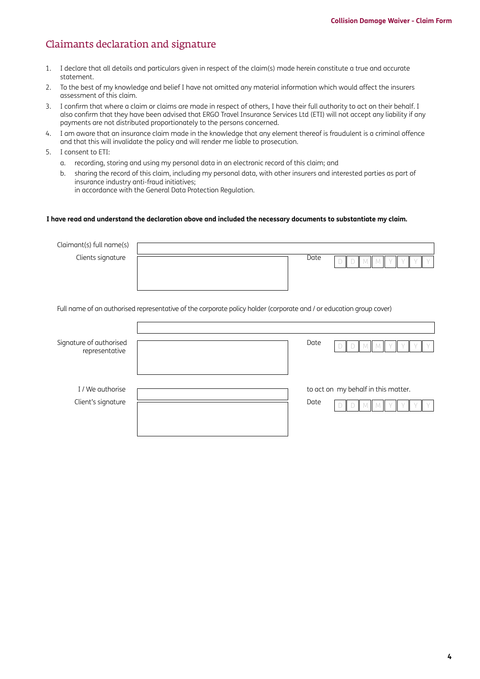### Claimants declaration and signature

- 1. I declare that all details and particulars given in respect of the claim(s) made herein constitute a true and accurate statement.
- 2. To the best of my knowledge and belief I have not omitted any material information which would affect the insurers assessment of this claim.
- 3. I confirm that where a claim or claims are made in respect of others, I have their full authority to act on their behalf. I also confirm that they have been advised that ERGO Travel Insurance Services Ltd (ETI) will not accept any liability if any payments are not distributed proportionately to the persons concerned.
- 4. I am aware that an insurance claim made in the knowledge that any element thereof is fraudulent is a criminal offence and that this will invalidate the policy and will render me liable to prosecution.
- 5. I consent to ETI:
	- a. recording, storing and using my personal data in an electronic record of this claim; and
	- b. sharing the record of this claim, including my personal data, with other insurers and interested parties as part of insurance industry anti-fraud initiatives; in accordance with the General Data Protection Regulation.

#### **I have read and understand the declaration above and included the necessary documents to substantiate my claim.**

| Claimant(s) full name(s)                  |                                                                                                                     |
|-------------------------------------------|---------------------------------------------------------------------------------------------------------------------|
| Clients signature                         | Date                                                                                                                |
|                                           | Full name of an authorised representative of the corporate policy holder (corporate and / or education group cover) |
|                                           |                                                                                                                     |
| Signature of authorised<br>representative | Date                                                                                                                |
| I / We authorise                          | to act on my behalf in this matter.                                                                                 |
| Client's signature                        | Date                                                                                                                |
|                                           |                                                                                                                     |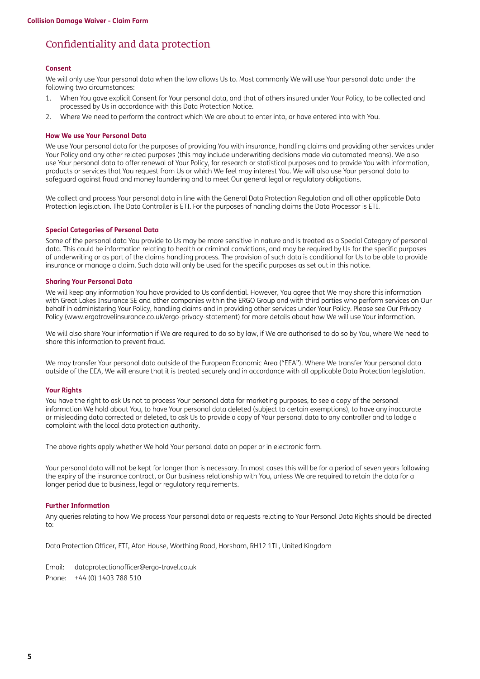### Confidentiality and data protection

#### **Consent**

We will only use Your personal data when the law allows Us to. Most commonly We will use Your personal data under the following two circumstances:

- 1. When You gave explicit Consent for Your personal data, and that of others insured under Your Policy, to be collected and processed by Us in accordance with this Data Protection Notice.
- 2. Where We need to perform the contract which We are about to enter into, or have entered into with You.

#### **How We use Your Personal Data**

We use Your personal data for the purposes of providing You with insurance, handling claims and providing other services under Your Policy and any other related purposes (this may include underwriting decisions made via automated means). We also use Your personal data to offer renewal of Your Policy, for research or statistical purposes and to provide You with information, products or services that You request from Us or which We feel may interest You. We will also use Your personal data to safeguard against fraud and money laundering and to meet Our general legal or regulatory obligations.

We collect and process Your personal data in line with the General Data Protection Regulation and all other applicable Data Protection legislation. The Data Controller is ETI. For the purposes of handling claims the Data Processor is ETI.

#### **Special Categories of Personal Data**

Some of the personal data You provide to Us may be more sensitive in nature and is treated as a Special Category of personal data. This could be information relating to health or criminal convictions, and may be required by Us for the specific purposes of underwriting or as part of the claims handling process. The provision of such data is conditional for Us to be able to provide insurance or manage a claim. Such data will only be used for the specific purposes as set out in this notice.

#### **Sharing Your Personal Data**

We will keep any information You have provided to Us confidential. However, You agree that We may share this information with Great Lakes Insurance SE and other companies within the ERGO Group and with third parties who perform services on Our behalf in administering Your Policy, handling claims and in providing other services under Your Policy. Please see Our Privacy Policy [\(www.ergotravelinsurance.co.uk/ergo-privacy-statement](http://www.ergotravelinsurance.co.uk/ergo-privacy-statement)) for more details about how We will use Your information.

We will also share Your information if We are required to do so by law, if We are authorised to do so by You, where We need to share this information to prevent fraud.

We may transfer Your personal data outside of the European Economic Area ("EEA"). Where We transfer Your personal data outside of the EEA, We will ensure that it is treated securely and in accordance with all applicable Data Protection legislation.

#### **Your Rights**

You have the right to ask Us not to process Your personal data for marketing purposes, to see a copy of the personal information We hold about You, to have Your personal data deleted (subject to certain exemptions), to have any inaccurate or misleading data corrected or deleted, to ask Us to provide a copy of Your personal data to any controller and to lodge a complaint with the local data protection authority.

The above rights apply whether We hold Your personal data on paper or in electronic form.

Your personal data will not be kept for longer than is necessary. In most cases this will be for a period of seven years following the expiry of the insurance contract, or Our business relationship with You, unless We are required to retain the data for a longer period due to business, legal or regulatory requirements.

#### **Further Information**

Any queries relating to how We process Your personal data or requests relating to Your Personal Data Rights should be directed to:

Data Protection Officer, ETI, Afon House, Worthing Road, Horsham, RH12 1TL, United Kingdom

Email: [dataprotectionofficer@ergo-travel.co.uk](mailto:dataprotectionofficer%40ergo-travel.co.uk?subject=) Phone: +44 (0) 1403 788 510